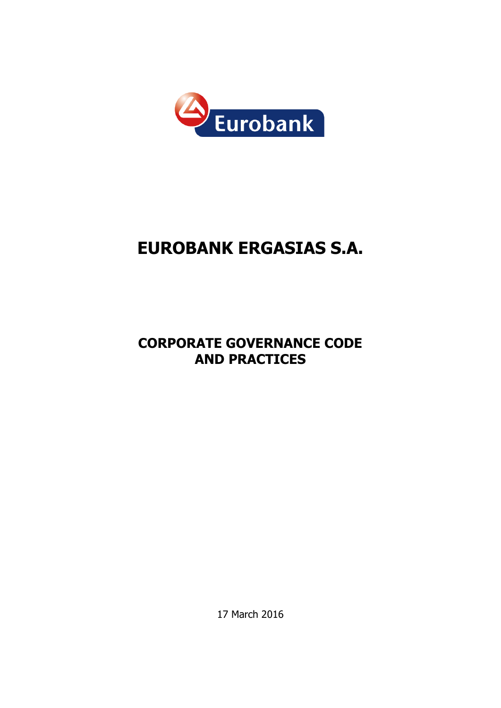

# **EUROBANK ERGASIΑS S.A.**

## **CORPORATE GOVERNANCE CODE AND PRACTICES**

17 March 2016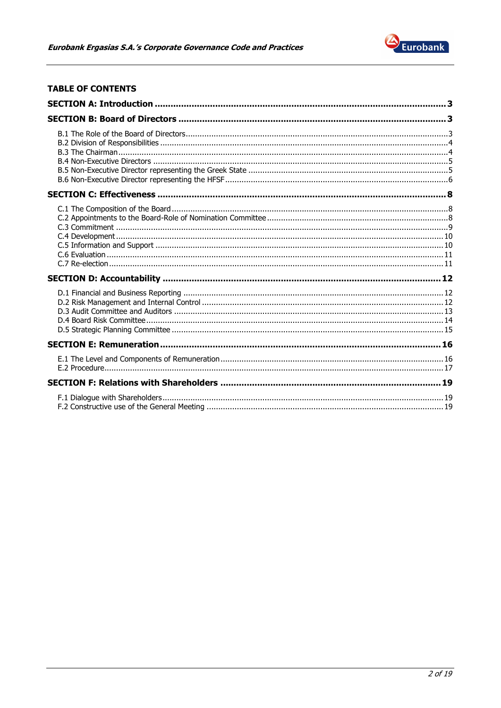

## **TABLE OF CONTENTS**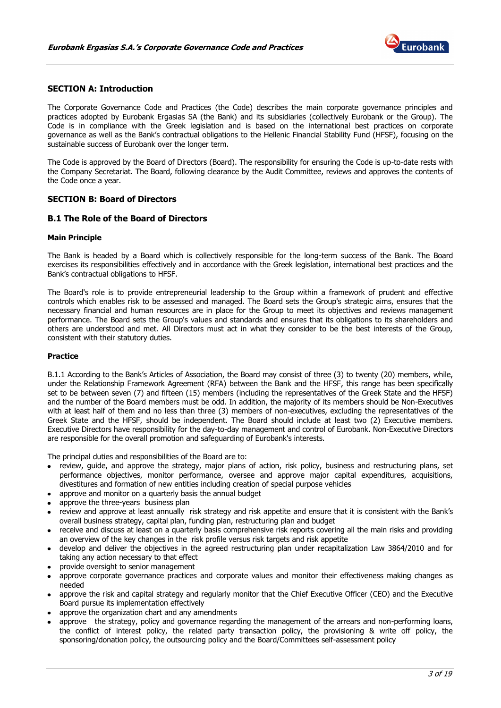

## <span id="page-2-0"></span>**SECTION A: Introduction**

The Corporate Governance Code and Practices (the Code) describes the main corporate governance principles and practices adopted by Eurobank Ergasias SA (the Bank) and its subsidiaries (collectively Eurobank or the Group). The Code is in compliance with the Greek legislation and is based on the international best practices on corporate governance as well as the Bank's contractual obligations to the Hellenic Financial Stability Fund (HFSF), focusing on the sustainable success of Eurobank over the longer term.

The Code is approved by the Board of Directors (Board). The responsibility for ensuring the Code is up-to-date rests with the Company Secretariat. The Board, following clearance by the Audit Committee, reviews and approves the contents of the Code once a year.

## <span id="page-2-1"></span>**SECTION B: Board of Directors**

## <span id="page-2-2"></span>**B.1 The Role of the Board of Directors**

#### **Main Principle**

The Bank is headed by a Board which is collectively responsible for the long-term success of the Bank. The Board exercises its responsibilities effectively and in accordance with the Greek legislation, international best practices and the Bank's contractual obligations to HFSF.

The Board's role is to provide entrepreneurial leadership to the Group within a framework of prudent and effective controls which enables risk to be assessed and managed. The Board sets the Group's strategic aims, ensures that the necessary financial and human resources are in place for the Group to meet its objectives and reviews management performance. The Board sets the Group's values and standards and ensures that its obligations to its shareholders and others are understood and met. All Directors must act in what they consider to be the best interests of the Group, consistent with their statutory duties.

#### **Practice**

B.1.1 According to the Bank's Articles of Association, the Board may consist of three (3) to twenty (20) members, while, under the Relationship Framework Agreement (RFA) between the Bank and the HFSF, this range has been specifically set to be between seven (7) and fifteen (15) members (including the representatives of the Greek State and the HFSF) and the number of the Board members must be odd. In addition, the majority of its members should be Non-Executives with at least half of them and no less than three (3) members of non-executives, excluding the representatives of the Greek State and the HFSF, should be independent. The Board should include at least two (2) Executive members. Executive Directors have responsibility for the day-to-day management and control of Eurobank. Non-Executive Directors are responsible for the overall promotion and safeguarding of Eurobank's interests.

The principal duties and responsibilities of the Board are to:

- review, quide, and approve the strategy, major plans of action, risk policy, business and restructuring plans, set performance objectives, monitor performance, oversee and approve major capital expenditures, acquisitions, divestitures and formation of new entities including creation of special purpose vehicles
- approve and monitor on a quarterly basis the annual budget
- approve the three-years business plan
- review and approve at least annually risk strategy and risk appetite and ensure that it is consistent with the Bank's overall business strategy, capital plan, funding plan, restructuring plan and budget
- receive and discuss at least on a quarterly basis comprehensive risk reports covering all the main risks and providing an overview of the key changes in the risk profile versus risk targets and risk appetite
- develop and deliver the objectives in the agreed restructuring plan under recapitalization Law 3864/2010 and for taking any action necessary to that effect
- provide oversight to senior management
- approve corporate governance practices and corporate values and monitor their effectiveness making changes as needed
- approve the risk and capital strategy and regularly monitor that the Chief Executive Officer (CEO) and the Executive Board pursue its implementation effectively
- approve the organization chart and any amendments
- approve the strategy, policy and governance regarding the management of the arrears and non-performing loans, the conflict of interest policy, the related party transaction policy, the provisioning & write off policy, the sponsoring/donation policy, the outsourcing policy and the Board/Committees self-assessment policy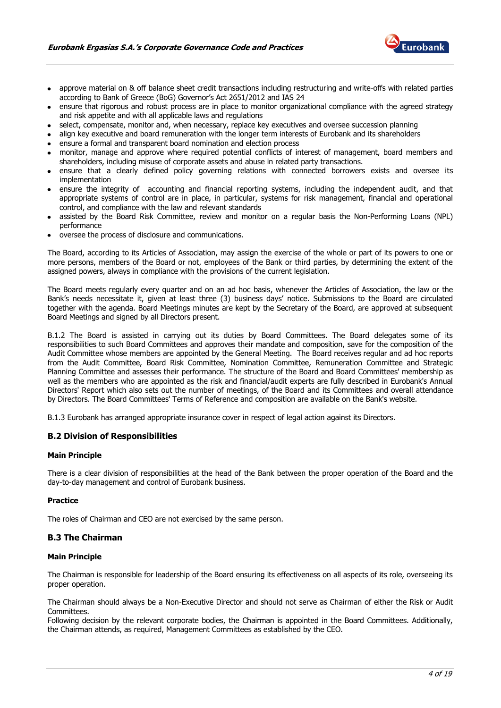

- approve material on & off balance sheet credit transactions including restructuring and write-offs with related parties according to Bank of Greece (BoG) Governor's Act 2651/2012 and IAS 24
- ensure that rigorous and robust process are in place to monitor organizational compliance with the agreed strategy and risk appetite and with all applicable laws and regulations
- select, compensate, monitor and, when necessary, replace key executives and oversee succession planning
- align key executive and board remuneration with the longer term interests of Eurobank and its shareholders
- ensure a formal and transparent board nomination and election process
- monitor, manage and approve where required potential conflicts of interest of management, board members and shareholders, including misuse of corporate assets and abuse in related party transactions.
- ensure that a clearly defined policy governing relations with connected borrowers exists and oversee its implementation
- ensure the integrity of accounting and financial reporting systems, including the independent audit, and that appropriate systems of control are in place, in particular, systems for risk management, financial and operational control, and compliance with the law and relevant standards
- assisted by the Board Risk Committee, review and monitor on a regular basis the Non-Performing Loans (NPL) performance
- oversee the process of disclosure and communications.

The Board, according to its Articles of Association, may assign the exercise of the whole or part of its powers to one or more persons, members of the Board or not, employees of the Bank or third parties, by determining the extent of the assigned powers, always in compliance with the provisions of the current legislation.

The Board meets regularly every quarter and on an ad hoc basis, whenever the Articles of Association, the law or the Bank's needs necessitate it, given at least three (3) business days' notice. Submissions to the Board are circulated together with the agenda. Board Meetings minutes are kept by the Secretary of the Board, are approved at subsequent Board Meetings and signed by all Directors present.

B.1.2 The Board is assisted in carrying out its duties by Board Committees. The Board delegates some of its responsibilities to such Board Committees and approves their mandate and composition, save for the composition of the Audit Committee whose members are appointed by the General Meeting. The Board receives regular and ad hoc reports from the Audit Committee, Board Risk Committee, Nomination Committee, Remuneration Committee and Strategic Planning Committee and assesses their performance. The structure of the Board and Board Committees' membership as well as the members who are appointed as the risk and financial/audit experts are fully described in Eurobank's Annual Directors' Report which also sets out the number of meetings, of the Board and its Committees and overall attendance by Directors. The Board Committees' Terms of Reference and composition are available on the Bank's website.

B.1.3 Eurobank has arranged appropriate insurance cover in respect of legal action against its Directors.

## <span id="page-3-0"></span>**B.2 Division of Responsibilities**

#### **Main Principle**

There is a clear division of responsibilities at the head of the Bank between the proper operation of the Board and the day-to-day management and control of Eurobank business.

#### **Practice**

The roles of Chairman and CEO are not exercised by the same person.

## <span id="page-3-1"></span>**B.3 The Chairman**

#### **Main Principle**

The Chairman is responsible for leadership of the Board ensuring its effectiveness on all aspects of its role, overseeing its proper operation.

The Chairman should always be a Non-Executive Director and should not serve as Chairman of either the Risk or Audit Committees.

Following decision by the relevant corporate bodies, the Chairman is appointed in the Board Committees. Additionally, the Chairman attends, as required, Management Committees as established by the CEO.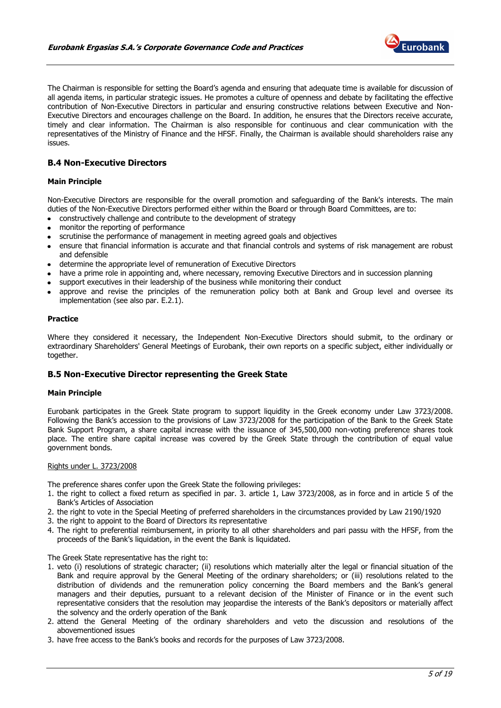

The Chairman is responsible for setting the Board's agenda and ensuring that adequate time is available for discussion of all agenda items, in particular strategic issues. He promotes a culture of openness and debate by facilitating the effective contribution of Non-Executive Directors in particular and ensuring constructive relations between Executive and Non-Executive Directors and encourages challenge on the Board. In addition, he ensures that the Directors receive accurate, timely and clear information. The Chairman is also responsible for continuous and clear communication with the representatives of the Ministry of Finance and the HFSF. Finally, the Chairman is available should shareholders raise any  $i$ ssues.

## <span id="page-4-0"></span>**B.4 Non-Executive Directors**

## **Main Principle**

Non-Executive Directors are responsible for the overall promotion and safeguarding of the Bank's interests. The main duties of the Non-Executive Directors performed either within the Board or through Board Committees, are to:

- constructively challenge and contribute to the development of strategy
- monitor the reporting of performance
- scrutinise the performance of management in meeting agreed goals and objectives
- ensure that financial information is accurate and that financial controls and systems of risk management are robust and defensible
- determine the appropriate level of remuneration of Executive Directors
- have a prime role in appointing and, where necessary, removing Executive Directors and in succession planning
- support executives in their leadership of the business while monitoring their conduct
- approve and revise the principles of the remuneration policy both at Bank and Group level and oversee its implementation (see also par. E.2.1).

#### **Practice**

Where they considered it necessary, the Independent Non-Executive Directors should submit, to the ordinary or extraordinary Shareholders' General Meetings of Eurobank, their own reports on a specific subject, either individually or together.

## <span id="page-4-1"></span>**B.5 Non-Executive Director representing the Greek State**

#### **Main Principle**

Eurobank participates in the Greek State program to support liquidity in the Greek economy under Law 3723/2008. Following the Bank's accession to the provisions of Law 3723/2008 for the participation of the Bank to the Greek State Bank Support Program, a share capital increase with the issuance of 345,500,000 non-voting preference shares took place. The entire share capital increase was covered by the Greek State through the contribution of equal value government bonds.

#### Rights under L. 3723/2008

The preference shares confer upon the Greek State the following privileges:

- 1. the right to collect a fixed return as specified in par. 3. article 1, Law 3723/2008, as in force and in article 5 of the Bank's Articles of Association
- 2. the right to vote in the Special Meeting of preferred shareholders in the circumstances provided by Law 2190/1920
- 3. the right to appoint to the Board of Directors its representative
- 4. The right to preferential reimbursement, in priority to all other shareholders and pari passu with the HFSF, from the proceeds of the Bank's liquidation, in the event the Bank is liquidated.

The Greek State representative has the right to:

- 1. veto (i) resolutions of strategic character; (ii) resolutions which materially alter the legal or financial situation of the Bank and require approval by the General Meeting of the ordinary shareholders; or (iii) resolutions related to the distribution of dividends and the remuneration policy concerning the Board members and the Bank's general managers and their deputies, pursuant to a relevant decision of the Minister of Finance or in the event such representative considers that the resolution may jeopardise the interests of the Bank's depositors or materially affect the solvency and the orderly operation of the Bank
- 2. attend the General Meeting of the ordinary shareholders and veto the discussion and resolutions of the abovementioned issues
- 3. have free access to the Bank's books and records for the purposes of Law 3723/2008.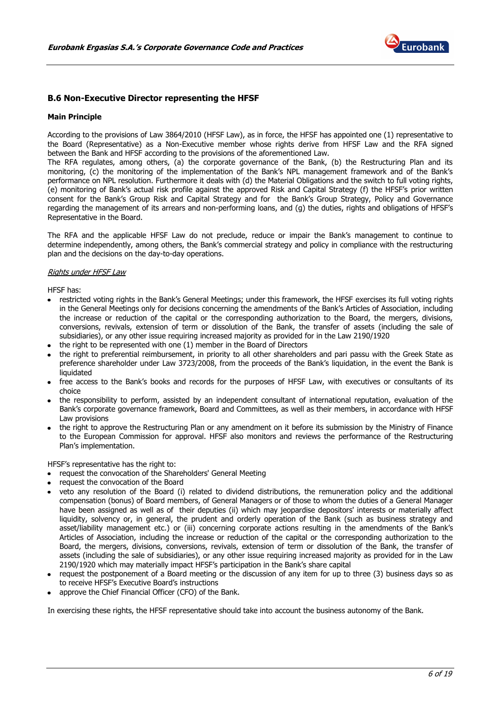

## <span id="page-5-0"></span>**B.6 Non-Executive Director representing the HFSF**

#### **Main Principle**

According to the provisions of Law 3864/2010 (HFSF Law), as in force, the HFSF has appointed one (1) representative to the Board (Representative) as a Non-Executive member whose rights derive from HFSF Law and the RFA signed between the Bank and HFSF according to the provisions of the aforementioned Law.

The RFA regulates, among others, (a) the corporate governance of the Bank, (b) the Restructuring Plan and its monitoring, (c) the monitoring of the implementation of the Bank's NPL management framework and of the Bank's performance on NPL resolution. Furthermore it deals with (d) the Material Obligations and the switch to full voting rights, (e) monitoring of Bank's actual risk profile against the approved Risk and Capital Strategy (f) the HFSF's prior written consent for the Bank's Group Risk and Capital Strategy and for the Bank's Group Strategy, Policy and Governance regarding the management of its arrears and non-performing loans, and (g) the duties, rights and obligations of HFSF's Representative in the Board.

The RFA and the applicable HFSF Law do not preclude, reduce or impair the Bank's management to continue to determine independently, among others, the Bank's commercial strategy and policy in compliance with the restructuring plan and the decisions on the day-to-day operations.

#### Rights under HFSF Law

HFSF has:

- restricted voting rights in the Bank's General Meetings; under this framework, the HFSF exercises its full voting rights in the General Meetings only for decisions concerning the amendments of the Bank's Articles of Association, including the increase or reduction of the capital or the corresponding authorization to the Board, the mergers, divisions, conversions, revivals, extension of term or dissolution of the Bank, the transfer of assets (including the sale of subsidiaries), or any other issue requiring increased majority as provided for in the Law 2190/1920
- the right to be represented with one (1) member in the Board of Directors
- the right to preferential reimbursement, in priority to all other shareholders and pari passu with the Greek State as preference shareholder under Law 3723/2008, from the proceeds of the Bank's liquidation, in the event the Bank is liquidated
- free access to the Bank's books and records for the purposes of HFSF Law, with executives or consultants of its choice
- the responsibility to perform, assisted by an independent consultant of international reputation, evaluation of the Bank's corporate governance framework, Board and Committees, as well as their members, in accordance with HFSF Law provisions
- the right to approve the Restructuring Plan or any amendment on it before its submission by the Ministry of Finance to the European Commission for approval. HFSF also monitors and reviews the performance of the Restructuring Plan's implementation.

HFSF's representative has the right to:

- request the convocation of the Shareholders' General Meeting
- request the convocation of the Board
- veto any resolution of the Board (i) related to dividend distributions, the remuneration policy and the additional compensation (bonus) of Board members, of General Managers or of those to whom the duties of a General Manager have been assigned as well as of their deputies (ii) which may jeopardise depositors' interests or materially affect liquidity, solvency or, in general, the prudent and orderly operation of the Bank (such as business strategy and asset/liability management etc.) or (iii) concerning corporate actions resulting in the amendments of the Bank's Articles of Association, including the increase or reduction of the capital or the corresponding authorization to the Board, the mergers, divisions, conversions, revivals, extension of term or dissolution of the Bank, the transfer of assets (including the sale of subsidiaries), or any other issue requiring increased majority as provided for in the Law 2190/1920 which may materially impact HFSF's participation in the Bank's share capital
- request the postponement of a Board meeting or the discussion of any item for up to three (3) business days so as to receive HFSF's Executive Board's instructions
- approve the Chief Financial Officer (CFO) of the Bank.

In exercising these rights, the HFSF representative should take into account the business autonomy of the Bank.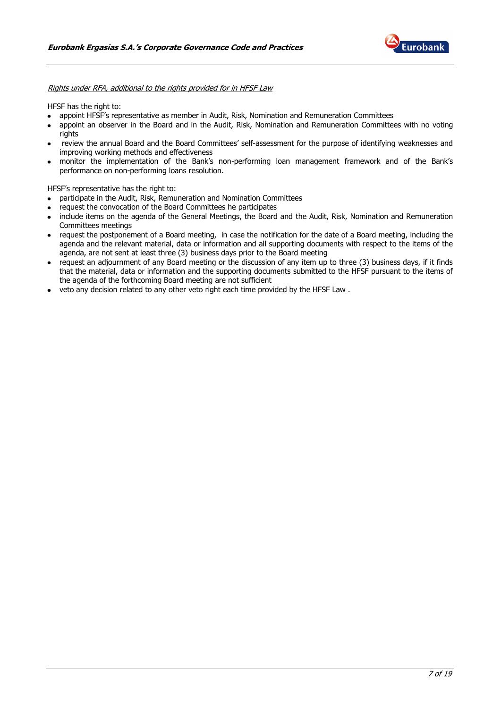

Rights under RFA, additional to the rights provided for in HFSF Law

HFSF has the right to:

- appoint HFSF's representative as member in Audit, Risk, Nomination and Remuneration Committees
- appoint an observer in the Board and in the Audit, Risk, Nomination and Remuneration Committees with no voting rights
- review the annual Board and the Board Committees' self-assessment for the purpose of identifying weaknesses and improving working methods and effectiveness
- monitor the implementation of the Bank's non-performing loan management framework and of the Bank's performance on non-performing loans resolution.

HFSF's representative has the right to:

- participate in the Audit, Risk, Remuneration and Nomination Committees
- request the convocation of the Board Committees he participates
- include items on the agenda of the General Meetings, the Board and the Audit, Risk, Nomination and Remuneration Committees meetings
- request the postponement of a Board meeting, in case the notification for the date of a Board meeting, including the agenda and the relevant material, data or information and all supporting documents with respect to the items of the agenda, are not sent at least three (3) business days prior to the Board meeting
- request an adjournment of any Board meeting or the discussion of any item up to three (3) business days, if it finds that the material, data or information and the supporting documents submitted to the HFSF pursuant to the items of the agenda of the forthcoming Board meeting are not sufficient
- veto any decision related to any other veto right each time provided by the HFSF Law.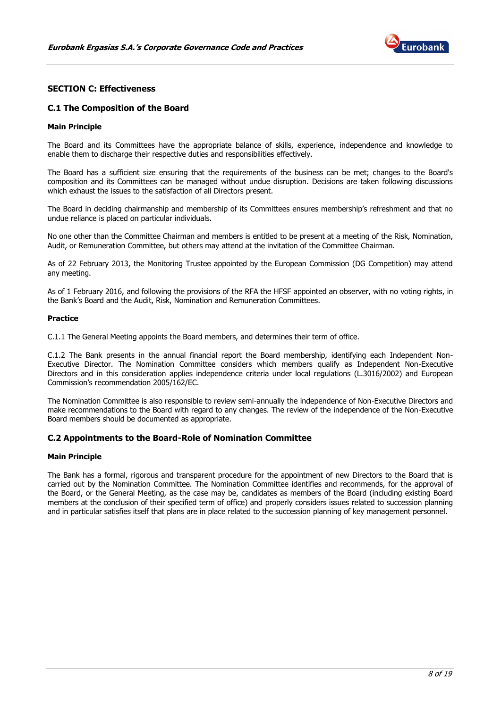

## <span id="page-7-0"></span>**SECTION C: Effectiveness**

## <span id="page-7-1"></span>**C.1 The Composition of the Board**

#### **Main Principle**

The Board and its Committees have the appropriate balance of skills, experience, independence and knowledge to enable them to discharge their respective duties and responsibilities effectively.

The Board has a sufficient size ensuring that the requirements of the business can be met; changes to the Board's composition and its Committees can be managed without undue disruption. Decisions are taken following discussions which exhaust the issues to the satisfaction of all Directors present.

The Board in deciding chairmanship and membership of its Committees ensures membership's refreshment and that no undue reliance is placed on particular individuals.

No one other than the Committee Chairman and members is entitled to be present at a meeting of the Risk, Nomination, Audit, or Remuneration Committee, but others may attend at the invitation of the Committee Chairman.

As of 22 February 2013, the Monitoring Trustee appointed by the European Commission (DG Competition) may attend any meeting.

As of 1 February 2016, and following the provisions of the RFA the HFSF appointed an observer, with no voting rights, in the Bank's Board and the Audit, Risk, Nomination and Remuneration Committees.

#### **Practice**

C.1.1 The General Meeting appoints the Board members, and determines their term of office.

C.1.2 The Bank presents in the annual financial report the Board membership, identifying each Independent Non-Executive Director. The Nomination Committee considers which members qualify as Independent Non-Executive Directors and in this consideration applies independence criteria under local regulations (L.3016/2002) and European Commission's recommendation 2005/162/EC.

The Nomination Committee is also responsible to review semi-annually the independence of Non-Executive Directors and make recommendations to the Board with regard to any changes. The review of the independence of the Non-Executive Board members should be documented as appropriate.

## <span id="page-7-2"></span>**C.2 Appointments to the Board-Role of Nomination Committee**

#### **Main Principle**

The Bank has a formal, rigorous and transparent procedure for the appointment of new Directors to the Board that is carried out by the Nomination Committee. The Nomination Committee identifies and recommends, for the approval of the Board, or the General Meeting, as the case may be, candidates as members of the Board (including existing Board members at the conclusion of their specified term of office) and properly considers issues related to succession planning and in particular satisfies itself that plans are in place related to the succession planning of key management personnel.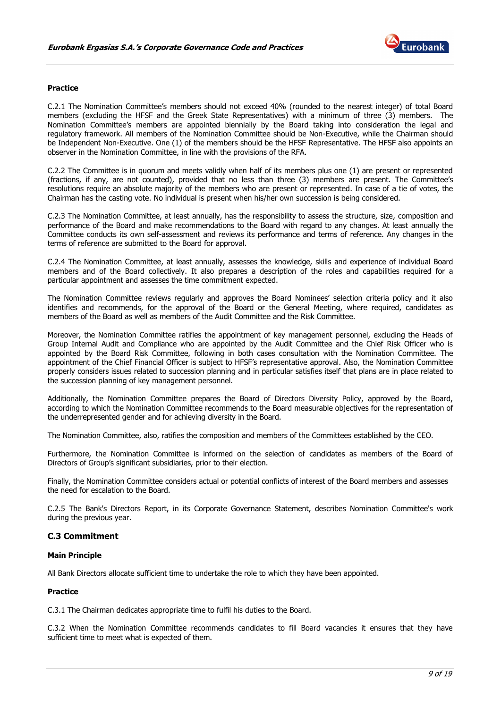

#### **Practice**

C.2.1 The Nomination Committee's members should not exceed 40% (rounded to the nearest integer) of total Board members (excluding the HFSF and the Greek State Representatives) with a minimum of three (3) members. The Nomination Committee's members are appointed biennially by the Board taking into consideration the legal and regulatory framework. All members of the Nomination Committee should be Non-Executive, while the Chairman should be Independent Non-Executive. One (1) of the members should be the HFSF Representative. The HFSF also appoints an observer in the Nomination Committee, in line with the provisions of the RFA.

C.2.2 The Committee is in quorum and meets validly when half of its members plus one (1) are present or represented (fractions, if any, are not counted), provided that no less than three (3) members are present. The Committee's resolutions require an absolute majority of the members who are present or represented. In case of a tie of votes, the Chairman has the casting vote. No individual is present when his/her own succession is being considered.

C.2.3 The Nomination Committee, at least annually, has the responsibility to assess the structure, size, composition and performance of the Board and make recommendations to the Board with regard to any changes. At least annually the Committee conducts its own self-assessment and reviews its performance and terms of reference. Any changes in the terms of reference are submitted to the Board for approval.

C.2.4 The Nomination Committee, at least annually, assesses the knowledge, skills and experience of individual Board members and of the Board collectively. It also prepares a description of the roles and capabilities required for a particular appointment and assesses the time commitment expected.

The Nomination Committee reviews regularly and approves the Board Nominees' selection criteria policy and it also identifies and recommends, for the approval of the Board or the General Meeting, where required, candidates as members of the Board as well as members of the Audit Committee and the Risk Committee.

Moreover, the Nomination Committee ratifies the appointment of key management personnel, excluding the Heads of Group Internal Audit and Compliance who are appointed by the Audit Committee and the Chief Risk Officer who is appointed by the Board Risk Committee, following in both cases consultation with the Nomination Committee. The appointment of the Chief Financial Officer is subject to HFSF's representative approval. Also, the Nomination Committee properly considers issues related to succession planning and in particular satisfies itself that plans are in place related to the succession planning of key management personnel.

Additionally, the Nomination Committee prepares the Board of Directors Diversity Policy, approved by the Board, according to which the Nomination Committee recommends to the Board measurable objectives for the representation of the underrepresented gender and for achieving diversity in the Board.

The Nomination Committee, also, ratifies the composition and members of the Committees established by the CEO.

Furthermore, the Nomination Committee is informed on the selection of candidates as members of the Board of Directors of Group's significant subsidiaries, prior to their election.

Finally, the Nomination Committee considers actual or potential conflicts of interest of the Board members and assesses the need for escalation to the Board.

C.2.5 The Bank's Directors Report, in its Corporate Governance Statement, describes Nomination Committee's work during the previous year.

## <span id="page-8-0"></span>**C.3 Commitment**

#### **Main Principle**

All Bank Directors allocate sufficient time to undertake the role to which they have been appointed.

## **Practice**

C.3.1 The Chairman dedicates appropriate time to fulfil his duties to the Board.

C.3.2 When the Nomination Committee recommends candidates to fill Board vacancies it ensures that they have sufficient time to meet what is expected of them.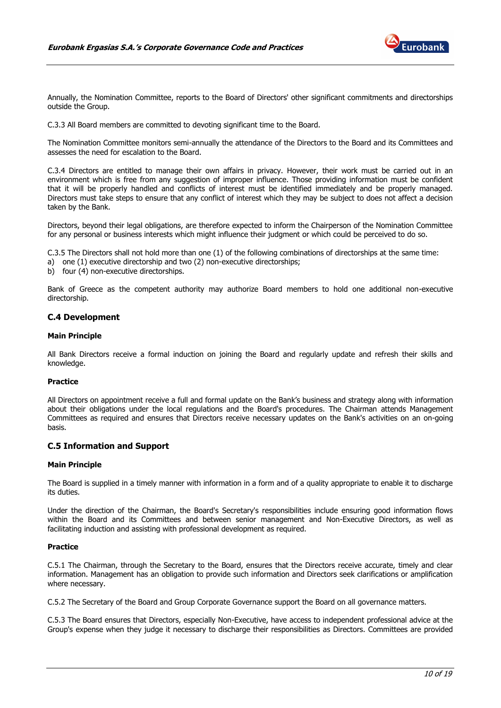

Annually, the Nomination Committee, reports to the Board of Directors' other significant commitments and directorships outside the Group.

C.3.3 All Board members are committed to devoting significant time to the Board.

The Nomination Committee monitors semi-annually the attendance of the Directors to the Board and its Committees and assesses the need for escalation to the Board.

C.3.4 Directors are entitled to manage their own affairs in privacy. However, their work must be carried out in an environment which is free from any suggestion of improper influence. Those providing information must be confident that it will be properly handled and conflicts of interest must be identified immediately and be properly managed. Directors must take steps to ensure that any conflict of interest which they may be subject to does not affect a decision taken by the Bank.

Directors, beyond their legal obligations, are therefore expected to inform the Chairperson of the Nomination Committee for any personal or business interests which might influence their judgment or which could be perceived to do so.

C.3.5 The Directors shall not hold more than one (1) of the following combinations of directorships at the same time:

a) one (1) executive directorship and two (2) non-executive directorships;

b) four (4) non-executive directorships.

Bank of Greece as the competent authority may authorize Board members to hold one additional non-executive directorship.

## <span id="page-9-0"></span>**C.4 Development**

#### **Main Principle**

All Βank Directors receive a formal induction on joining the Board and regularly update and refresh their skills and knowledge.

## **Practice**

All Directors on appointment receive a full and formal update on the Bank's business and strategy along with information about their obligations under the local regulations and the Board's procedures. The Chairman attends Management Committees as required and ensures that Directors receive necessary updates on the Bank's activities on an on-going basis.

## <span id="page-9-1"></span>**C.5 Information and Support**

#### **Main Principle**

The Board is supplied in a timely manner with information in a form and of a quality appropriate to enable it to discharge its duties.

Under the direction of the Chairman, the Board's Secretary's responsibilities include ensuring good information flows within the Board and its Committees and between senior management and Non-Executive Directors, as well as facilitating induction and assisting with professional development as required.

#### **Practice**

C.5.1 The Chairman, through the Secretary to the Board, ensures that the Directors receive accurate, timely and clear information. Management has an obligation to provide such information and Directors seek clarifications or amplification where necessary.

C.5.2 The Secretary of the Board and Group Corporate Governance support the Board on all governance matters.

C.5.3 The Board ensures that Directors, especially Non-Executive, have access to independent professional advice at the Group's expense when they judge it necessary to discharge their responsibilities as Directors. Committees are provided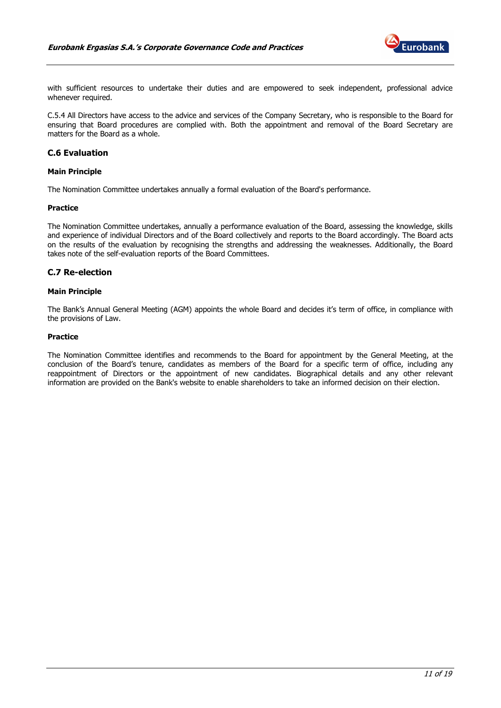

with sufficient resources to undertake their duties and are empowered to seek independent, professional advice whenever required.

C.5.4 All Directors have access to the advice and services of the Company Secretary, who is responsible to the Board for ensuring that Board procedures are complied with. Both the appointment and removal of the Board Secretary are matters for the Board as a whole.

## <span id="page-10-0"></span>**C.6 Evaluation**

## **Main Principle**

The Nomination Committee undertakes annually a formal evaluation of the Board's performance.

#### **Practice**

The Nomination Committee undertakes, annually a performance evaluation of the Board, assessing the knowledge, skills and experience of individual Directors and of the Board collectively and reports to the Board accordingly. The Board acts on the results of the evaluation by recognising the strengths and addressing the weaknesses. Additionally, the Board takes note of the self-evaluation reports of the Board Committees.

## <span id="page-10-1"></span>**C.7 Re-election**

#### **Main Principle**

The Bank's Annual General Meeting (AGM) appoints the whole Board and decides it's term of office, in compliance with the provisions of Law.

#### **Practice**

The Nomination Committee identifies and recommends to the Board for appointment by the General Meeting, at the conclusion of the Board's tenure, candidates as members of the Board for a specific term of office, including any reappointment of Directors or the appointment of new candidates. Biographical details and any other relevant information are provided on the Bank's website to enable shareholders to take an informed decision on their election.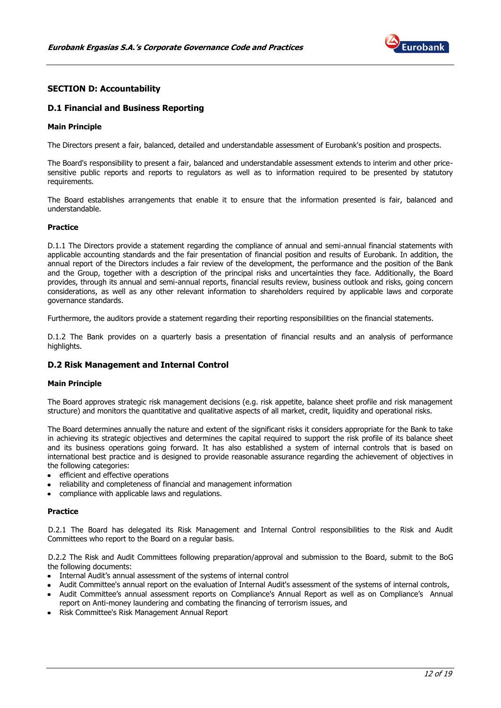

## <span id="page-11-0"></span>**SECTION D: Accountability**

## <span id="page-11-1"></span>**D.1 Financial and Business Reporting**

#### **Main Principle**

The Directors present a fair, balanced, detailed and understandable assessment of Eurobank's position and prospects.

The Board's responsibility to present a fair, balanced and understandable assessment extends to interim and other pricesensitive public reports and reports to regulators as well as to information required to be presented by statutory requirements.

The Board establishes arrangements that enable it to ensure that the information presented is fair, balanced and understandable.

#### **Practice**

D.1.1 The Directors provide a statement regarding the compliance of annual and semi-annual financial statements with applicable accounting standards and the fair presentation of financial position and results of Eurobank. In addition, the annual report of the Directors includes a fair review of the development, the performance and the position of the Bank and the Group, together with a description of the principal risks and uncertainties they face. Additionally, the Board provides, through its annual and semi-annual reports, financial results review, business outlook and risks, going concern considerations, as well as any other relevant information to shareholders required by applicable laws and corporate governance standards.

Furthermore, the auditors provide a statement regarding their reporting responsibilities on the financial statements.

D.1.2 The Bank provides on a quarterly basis a presentation of financial results and an analysis of performance highlights.

## <span id="page-11-2"></span>**D.2 Risk Management and Internal Control**

#### **Main Principle**

The Board approves strategic risk management decisions (e.g. risk appetite, balance sheet profile and risk management structure) and monitors the quantitative and qualitative aspects of all market, credit, liquidity and operational risks.

The Board determines annually the nature and extent of the significant risks it considers appropriate for the Bank to take in achieving its strategic objectives and determines the capital required to support the risk profile of its balance sheet and its business operations going forward. It has also established a system of internal controls that is based on international best practice and is designed to provide reasonable assurance regarding the achievement of objectives in the following categories:

- efficient and effective operations
- reliability and completeness of financial and management information
- compliance with applicable laws and regulations.

#### **Practice**

D.2.1 The Board has delegated its Risk Management and Internal Control responsibilities to the Risk and Audit Committees who report to the Board on a regular basis.

D.2.2 The Risk and Audit Committees following preparation/approval and submission to the Board, submit to the BoG the following documents:

- Internal Audit's annual assessment of the systems of internal control
- Audit Committee's annual report on the evaluation of Internal Audit's assessment of the systems of internal controls,
- Audit Committee's annual assessment reports on Compliance's Annual Report as well as on Compliance's Annual report on Anti-money laundering and combating the financing of terrorism issues, and
- Risk Committee's Risk Management Annual Report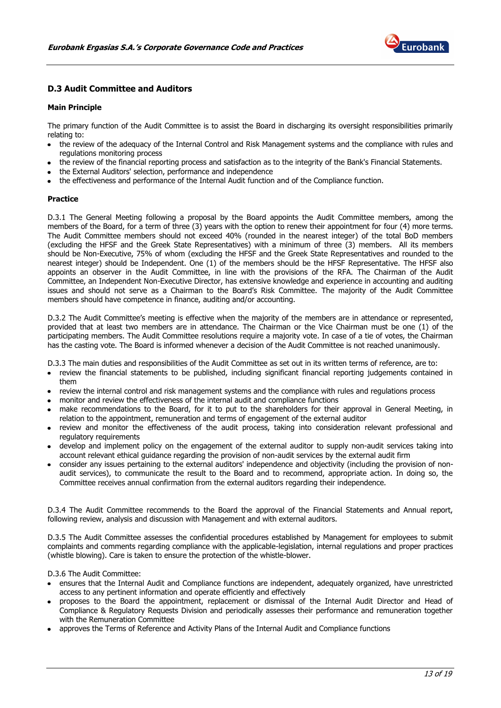

## <span id="page-12-0"></span>**D.3 Audit Committee and Auditors**

## **Main Principle**

The primary function of the Audit Committee is to assist the Board in discharging its oversight responsibilities primarily relating to:

- the review of the adequacy of the Internal Control and Risk Management systems and the compliance with rules and regulations monitoring process
- the review of the financial reporting process and satisfaction as to the integrity of the Bank's Financial Statements.
- the External Auditors' selection, performance and independence
- the effectiveness and performance of the Internal Audit function and of the Compliance function.

#### **Practice**

D.3.1 The General Meeting following a proposal by the Board appoints the Audit Committee members, among the members of the Board, for a term of three (3) years with the option to renew their appointment for four (4) more terms. The Audit Committee members should not exceed 40% (rounded in the nearest integer) of the total BoD members (excluding the HFSF and the Greek State Representatives) with a minimum of three (3) members. All its members should be Non-Executive, 75% of whom (excluding the HFSF and the Greek State Representatives and rounded to the nearest integer) should be Independent. One (1) of the members should be the HFSF Representative. The HFSF also appoints an observer in the Audit Committee, in line with the provisions of the RFA. The Chairman of the Audit Committee, an Independent Non-Executive Director, has extensive knowledge and experience in accounting and auditing issues and should not serve as a Chairman to the Board's Risk Committee. The majority of the Audit Committee members should have competence in finance, auditing and/or accounting.

D.3.2 The Audit Committee's meeting is effective when the majority of the members are in attendance or represented, provided that at least two members are in attendance. The Chairman or the Vice Chairman must be one (1) of the participating members. The Audit Committee resolutions require a majority vote. In case of a tie of votes, the Chairman has the casting vote. The Board is informed whenever a decision of the Audit Committee is not reached unanimously.

D.3.3 The main duties and responsibilities of the Audit Committee as set out in its written terms of reference, are to:

- review the financial statements to be published, including significant financial reporting judgements contained in them
- review the internal control and risk management systems and the compliance with rules and regulations process
- monitor and review the effectiveness of the internal audit and compliance functions
- make recommendations to the Board, for it to put to the shareholders for their approval in General Meeting, in relation to the appointment, remuneration and terms of engagement of the external auditor
- review and monitor the effectiveness of the audit process, taking into consideration relevant professional and regulatory requirements
- develop and implement policy on the engagement of the external auditor to supply non-audit services taking into account relevant ethical guidance regarding the provision of non-audit services by the external audit firm
- consider any issues pertaining to the external auditors' independence and objectivity (including the provision of nonaudit services), to communicate the result to the Board and to recommend, appropriate action. In doing so, the Committee receives annual confirmation from the external auditors regarding their independence.

D.3.4 The Audit Committee recommends to the Board the approval of the Financial Statements and Annual report, following review, analysis and discussion with Management and with external auditors.

D.3.5 The Audit Committee assesses the confidential procedures established by Management for employees to submit complaints and comments regarding compliance with the applicable-legislation, internal regulations and proper practices (whistle blowing). Care is taken to ensure the protection of the whistle-blower.

D.3.6 The Audit Committee:

- ensures that the Internal Audit and Compliance functions are independent, adequately organized, have unrestricted access to any pertinent information and operate efficiently and effectively
- proposes to the Board the appointment, replacement or dismissal of the Internal Audit Director and Head of Compliance & Regulatory Requests Division and periodically assesses their performance and remuneration together with the Remuneration Committee
- approves the Terms of Reference and Activity Plans of the Internal Audit and Compliance functions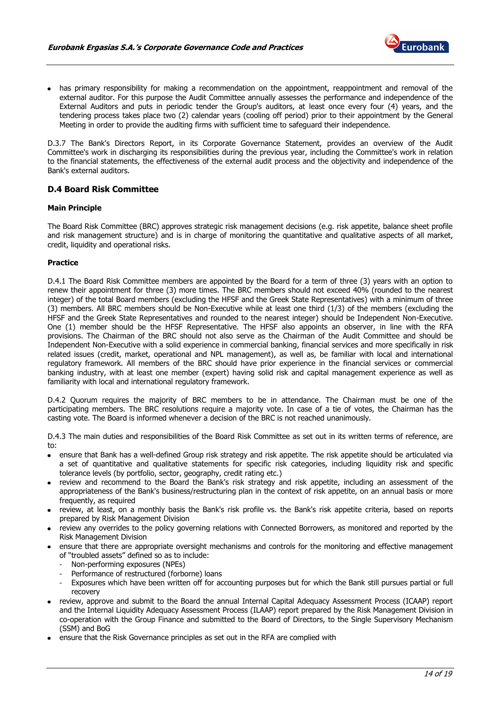

• has primary responsibility for making a recommendation on the appointment, reappointment and removal of the external auditor. For this purpose the Audit Committee annually assesses the performance and independence of the External Auditors and puts in periodic tender the Group's auditors, at least once every four (4) years, and the tendering process takes place two (2) calendar years (cooling off period) prior to their appointment by the General Meeting in order to provide the auditing firms with sufficient time to safeguard their independence.

D.3.7 The Bank's Directors Report, in its Corporate Governance Statement, provides an overview of the Audit Committee's work in discharging its responsibilities during the previous year, including the Committee's work in relation to the financial statements, the effectiveness of the external audit process and the objectivity and independence of the Bank's external auditors.

## <span id="page-13-0"></span>**D.4 Board Risk Committee**

#### **Main Principle**

The Board Risk Committee (BRC) approves strategic risk management decisions (e.g. risk appetite, balance sheet profile and risk management structure) and is in charge of monitoring the quantitative and qualitative aspects of all market, credit, liquidity and operational risks.

#### **Practice**

D.4.1 The Board Risk Committee members are appointed by the Board for a term of three (3) years with an option to renew their appointment for three (3) more times. The BRC members should not exceed 40% (rounded to the nearest integer) of the total Board members (excluding the HFSF and the Greek State Representatives) with a minimum of three (3) members. All BRC members should be Non-Executive while at least one third (1/3) of the members (excluding the HFSF and the Greek State Representatives and rounded to the nearest integer) should be Independent Non-Executive. One (1) member should be the HFSF Representative. The HFSF also appoints an observer, in line with the RFA provisions. The Chairman of the BRC should not also serve as the Chairman of the Audit Committee and should be Independent Non-Executive with a solid experience in commercial banking, financial services and more specifically in risk related issues (credit, market, operational and NPL management), as well as, be familiar with local and international regulatory framework. All members of the BRC should have prior experience in the financial services or commercial banking industry, with at least one member (expert) having solid risk and capital management experience as well as familiarity with local and international regulatory framework.

D.4.2 Quorum requires the majority of BRC members to be in attendance. The Chairman must be one of the participating members. The BRC resolutions require a majority vote. In case of a tie of votes, the Chairman has the casting vote. The Board is informed whenever a decision of the BRC is not reached unanimously.

D.4.3 The main duties and responsibilities of the Board Risk Committee as set out in its written terms of reference, are to:

- ensure that Bank has a well-defined Group risk strategy and risk appetite. The risk appetite should be articulated via a set of quantitative and qualitative statements for specific risk categories, including liquidity risk and specific tolerance levels (by portfolio, sector, geography, credit rating etc.)
- review and recommend to the Board the Bank's risk strategy and risk appetite, including an assessment of the appropriateness of the Bank's business/restructuring plan in the context of risk appetite, on an annual basis or more frequently, as required
- review, at least, on a monthly basis the Bank's risk profile vs. the Bank's risk appetite criteria, based on reports prepared by Risk Management Division
- review any overrides to the policy governing relations with Connected Borrowers, as monitored and reported by the Risk Management Division
- ensure that there are appropriate oversight mechanisms and controls for the monitoring and effective management of "troubled assets" defined so as to include:
	- Non-performing exposures (NPEs)
	- Performance of restructured (forborne) loans
	- Exposures which have been written off for accounting purposes but for which the Bank still pursues partial or full recovery
- review, approve and submit to the Board the annual Internal Capital Adequacy Assessment Process (ICAAP) report and the Internal Liquidity Adequacy Assessment Process (ILAAP) report prepared by the Risk Management Division in co-operation with the Group Finance and submitted to the Board of Directors, to the Single Supervisory Mechanism (SSM) and BoG
- ensure that the Risk Governance principles as set out in the RFA are complied with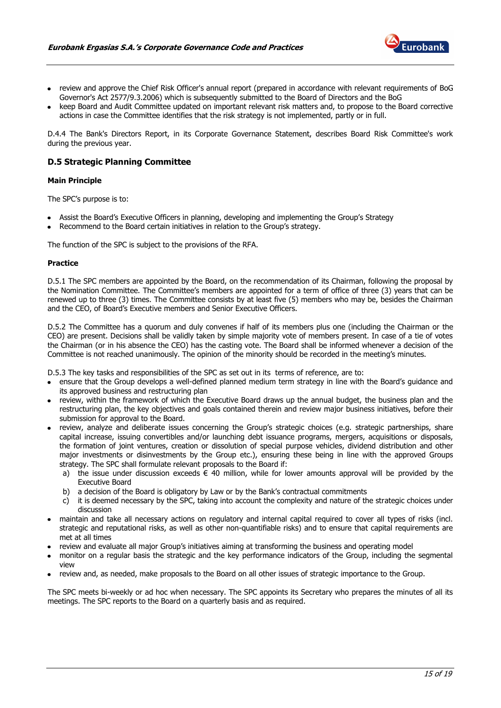

- review and approve the Chief Risk Officer's annual report (prepared in accordance with relevant requirements of BoG Governor's Act 2577/9.3.2006) which is subsequently submitted to the Board of Directors and the BoG
- keep Board and Audit Committee updated on important relevant risk matters and, to propose to the Board corrective actions in case the Committee identifies that the risk strategy is not implemented, partly or in full.

D.4.4 The Bank's Directors Report, in its Corporate Governance Statement, describes Board Risk Committee's work during the previous year.

## <span id="page-14-0"></span>**D.5 Strategic Planning Committee**

#### **Main Principle**

The SPC's purpose is to:

- Assist the Board's Executive Officers in planning, developing and implementing the Group's Strategy
- Recommend to the Board certain initiatives in relation to the Group's strategy.

The function of the SPC is subject to the provisions of the RFA.

#### **Practice**

D.5.1 The SPC members are appointed by the Board, on the recommendation of its Chairman, following the proposal by the Nomination Committee. The Committee's members are appointed for a term of office of three (3) years that can be renewed up to three (3) times. The Committee consists by at least five (5) members who may be, besides the Chairman and the CEO, of Board's Executive members and Senior Executive Officers.

D.5.2 The Committee has a quorum and duly convenes if half of its members plus one (including the Chairman or the CEO) are present. Decisions shall be validly taken by simple majority vote of members present. In case of a tie of votes the Chairman (or in his absence the CEO) has the casting vote. The Board shall be informed whenever a decision of the Committee is not reached unanimously. The opinion of the minority should be recorded in the meeting's minutes.

D.5.3 The key tasks and responsibilities of the SPC as set out in its terms of reference, are to:

- ensure that the Group develops a well-defined planned medium term strategy in line with the Board's guidance and its approved business and restructuring plan
- review, within the framework of which the Executive Board draws up the annual budget, the business plan and the restructuring plan, the key objectives and goals contained therein and review major business initiatives, before their submission for approval to the Board.
- review, analyze and deliberate issues concerning the Group's strategic choices (e.g. strategic partnerships, share capital increase, issuing convertibles and/or launching debt issuance programs, mergers, acquisitions or disposals, the formation of joint ventures, creation or dissolution of special purpose vehicles, dividend distribution and other major investments or disinvestments by the Group etc.), ensuring these being in line with the approved Groups strategy. The SPC shall formulate relevant proposals to the Board if:
	- a) the issue under discussion exceeds  $\epsilon$  40 million, while for lower amounts approval will be provided by the Executive Board
	- b) a decision of the Board is obligatory by Law or by the Bank's contractual commitments
	- c) it is deemed necessary by the SPC, taking into account the complexity and nature of the strategic choices under discussion
- maintain and take all necessary actions on regulatory and internal capital required to cover all types of risks (incl. strategic and reputational risks, as well as other non-quantifiable risks) and to ensure that capital requirements are met at all times
- review and evaluate all major Group's initiatives aiming at transforming the business and operating model
- monitor on a regular basis the strategic and the key performance indicators of the Group, including the segmental view
- review and, as needed, make proposals to the Board on all other issues of strategic importance to the Group.

The SPC meets bi-weekly or ad hoc when necessary. The SPC appoints its Secretary who prepares the minutes of all its meetings. The SPC reports to the Board on a quarterly basis and as required.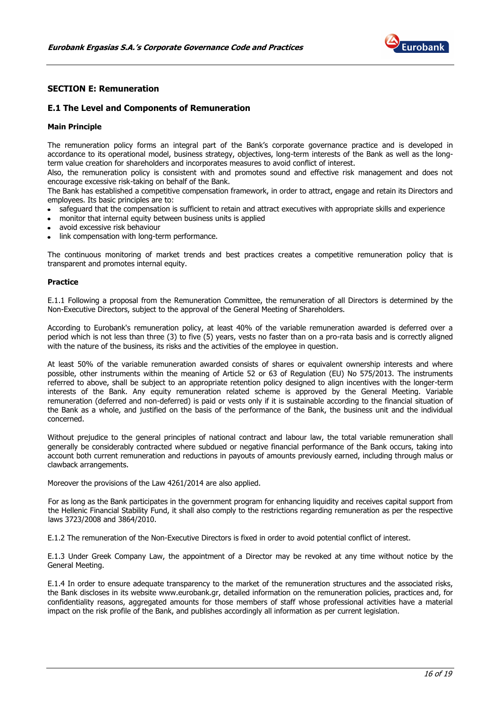

## <span id="page-15-0"></span>**SECTION E: Remuneration**

## <span id="page-15-1"></span>**E.1 The Level and Components of Remuneration**

#### **Main Principle**

The remuneration policy forms an integral part of the Bank's corporate governance practice and is developed in accordance to its operational model, business strategy, objectives, long-term interests of the Bank as well as the longterm value creation for shareholders and incorporates measures to avoid conflict of interest.

Also, the remuneration policy is consistent with and promotes sound and effective risk management and does not encourage excessive risk-taking on behalf of the Bank.

The Bank has established a competitive compensation framework, in order to attract, engage and retain its Directors and employees. Its basic principles are to:

- safeguard that the compensation is sufficient to retain and attract executives with appropriate skills and experience
- monitor that internal equity between business units is applied
- avoid excessive risk behaviour
- link compensation with long-term performance.

The continuous monitoring of market trends and best practices creates a competitive remuneration policy that is transparent and promotes internal equity.

#### **Practice**

E.1.1 Following a proposal from the Remuneration Committee, the remuneration of all Directors is determined by the Non-Executive Directors, subject to the approval of the General Meeting of Shareholders.

According to Eurobank's remuneration policy, at least 40% of the variable remuneration awarded is deferred over a period which is not less than three (3) to five (5) years, vests no faster than on a pro-rata basis and is correctly aligned with the nature of the business, its risks and the activities of the employee in question.

At least 50% of the variable remuneration awarded consists of shares or equivalent ownership interests and where possible, other instruments within the meaning of Article 52 or 63 of Regulation (EU) No 575/2013. The instruments referred to above, shall be subject to an appropriate retention policy designed to align incentives with the longer-term interests of the Bank. Any equity remuneration related scheme is approved by the General Meeting. Variable remuneration (deferred and non-deferred) is paid or vests only if it is sustainable according to the financial situation of the Bank as a whole, and justified on the basis of the performance of the Bank, the business unit and the individual concerned.

Without prejudice to the general principles of national contract and labour law, the total variable remuneration shall generally be considerably contracted where subdued or negative financial performance of the Bank occurs, taking into account both current remuneration and reductions in payouts of amounts previously earned, including through malus or clawback arrangements.

Moreover the provisions of the Law 4261/2014 are also applied.

For as long as the Bank participates in the government program for enhancing liquidity and receives capital support from the Hellenic Financial Stability Fund, it shall also comply to the restrictions regarding remuneration as per the respective laws 3723/2008 and 3864/2010.

E.1.2 The remuneration of the Non-Executive Directors is fixed in order to avoid potential conflict of interest.

E.1.3 Under Greek Company Law, the appointment of a Director may be revoked at any time without notice by the General Meeting.

E.1.4 In order to ensure adequate transparency to the market of the remuneration structures and the associated risks, the Bank discloses in its website www.eurobank.gr, detailed information on the remuneration policies, practices and, for confidentiality reasons, aggregated amounts for those members of staff whose professional activities have a material impact on the risk profile of the Bank, and publishes accordingly all information as per current legislation.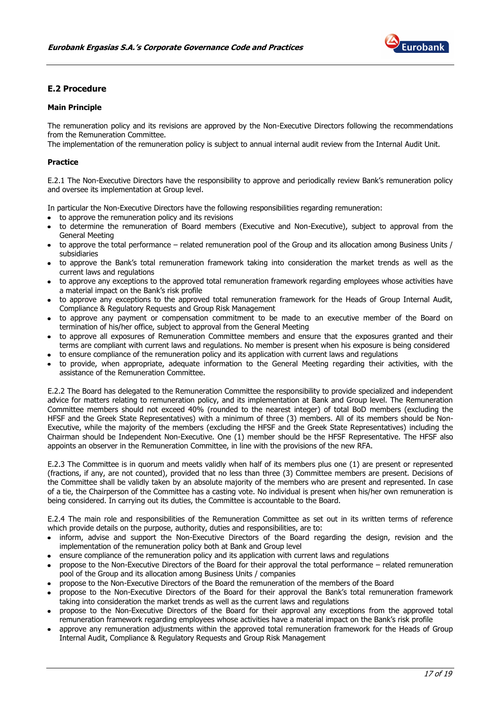

## <span id="page-16-0"></span>**E.2 Procedure**

## **Main Principle**

The remuneration policy and its revisions are approved by the Non-Executive Directors following the recommendations from the Remuneration Committee.

The implementation of the remuneration policy is subject to annual internal audit review from the Internal Audit Unit.

#### **Practice**

E.2.1 The Non-Executive Directors have the responsibility to approve and periodically review Bank's remuneration policy and oversee its implementation at Group level.

In particular the Non-Executive Directors have the following responsibilities regarding remuneration:

- to approve the remuneration policy and its revisions
- to determine the remuneration of Board members (Executive and Non-Executive), subject to approval from the General Meeting
- to approve the total performance related remuneration pool of the Group and its allocation among Business Units / subsidiaries
- to approve the Bank's total remuneration framework taking into consideration the market trends as well as the current laws and regulations
- to approve any exceptions to the approved total remuneration framework regarding employees whose activities have a material impact on the Bank's risk profile
- to approve any exceptions to the approved total remuneration framework for the Heads of Group Internal Audit, Compliance & Regulatory Requests and Group Risk Management
- to approve any payment or compensation commitment to be made to an executive member of the Board on termination of his/her office, subject to approval from the General Meeting
- to approve all exposures of Remuneration Committee members and ensure that the exposures granted and their terms are compliant with current laws and regulations. No member is present when his exposure is being considered
- to ensure compliance of the remuneration policy and its application with current laws and regulations
- to provide, when appropriate, adequate information to the General Meeting regarding their activities, with the assistance of the Remuneration Committee.

E.2.2 The Board has delegated to the Remuneration Committee the responsibility to provide specialized and independent advice for matters relating to remuneration policy, and its implementation at Bank and Group level. The Remuneration Committee members should not exceed 40% (rounded to the nearest integer) of total BoD members (excluding the HFSF and the Greek State Representatives) with a minimum of three (3) members. All of its members should be Non-Executive, while the majority of the members (excluding the HFSF and the Greek State Representatives) including the Chairman should be Independent Non-Executive. One (1) member should be the HFSF Representative. The HFSF also appoints an observer in the Remuneration Committee, in line with the provisions of the new RFA.

E.2.3 The Committee is in quorum and meets validly when half of its members plus one (1) are present or represented (fractions, if any, are not counted), provided that no less than three (3) Committee members are present. Decisions of the Committee shall be validly taken by an absolute majority of the members who are present and represented. In case of a tie, the Chairperson of the Committee has a casting vote. No individual is present when his/her own remuneration is being considered. In carrying out its duties, the Committee is accountable to the Board.

E.2.4 The main role and responsibilities of the Remuneration Committee as set out in its written terms of reference which provide details on the purpose, authority, duties and responsibilities, are to:

- inform, advise and support the Non-Executive Directors of the Board regarding the design, revision and the implementation of the remuneration policy both at Bank and Group level
- ensure compliance of the remuneration policy and its application with current laws and regulations
- propose to the Non-Executive Directors of the Board for their approval the total performance related remuneration pool of the Group and its allocation among Business Units / companies
- propose to the Non-Executive Directors of the Board the remuneration of the members of the Board
- propose to the Non-Executive Directors of the Board for their approval the Bank's total remuneration framework taking into consideration the market trends as well as the current laws and regulations
- propose to the Non-Executive Directors of the Board for their approval any exceptions from the approved total remuneration framework regarding employees whose activities have a material impact on the Bank's risk profile
- approve any remuneration adjustments within the approved total remuneration framework for the Heads of Group Internal Audit, Compliance & Regulatory Requests and Group Risk Management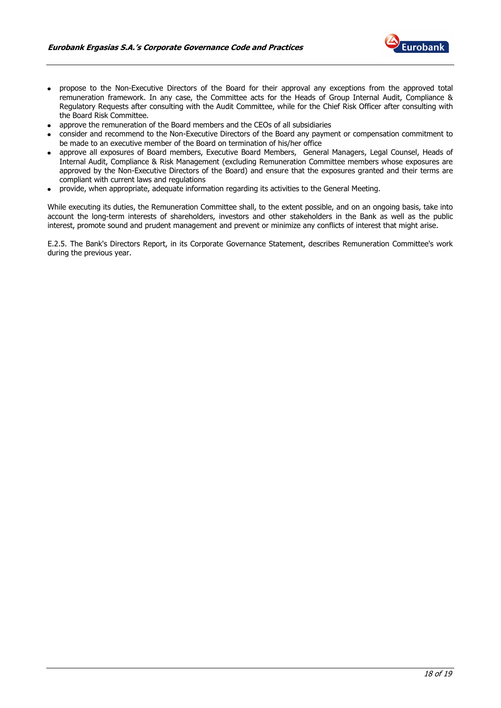

- propose to the Non-Executive Directors of the Board for their approval any exceptions from the approved total remuneration framework. In any case, the Committee acts for the Heads of Group Internal Audit, Compliance & Regulatory Requests after consulting with the Audit Committee, while for the Chief Risk Officer after consulting with the Board Risk Committee.
- approve the remuneration of the Board members and the CEOs of all subsidiaries
- consider and recommend to the Non-Executive Directors of the Board any payment or compensation commitment to be made to an executive member of the Board on termination of his/her office
- approve all exposures of Board members, Executive Board Members, General Managers, Legal Counsel, Heads of Internal Audit, Compliance & Risk Management (excluding Remuneration Committee members whose exposures are approved by the Non-Executive Directors of the Board) and ensure that the exposures granted and their terms are compliant with current laws and regulations
- provide, when appropriate, adequate information regarding its activities to the General Meeting.

While executing its duties, the Remuneration Committee shall, to the extent possible, and on an ongoing basis, take into account the long-term interests of shareholders, investors and other stakeholders in the Bank as well as the public interest, promote sound and prudent management and prevent or minimize any conflicts of interest that might arise.

E.2.5. The Bank's Directors Report, in its Corporate Governance Statement, describes Remuneration Committee's work during the previous year.